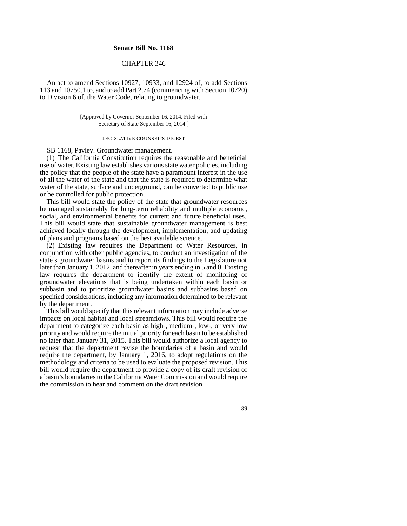## **Senate Bill No. 1168**

## CHAPTER 346

An act to amend Sections 10927, 10933, and 12924 of, to add Sections 113 and 10750.1 to, and to add Part 2.74 (commencing with Section 10720) to Division 6 of, the Water Code, relating to groundwater.

> [Approved by Governor September 16, 2014. Filed with Secretary of State September 16, 2014.]

# legislative counsel' s digest

SB 1168, Pavley. Groundwater management.

(1) The California Constitution requires the reasonable and beneficial use of water. Existing law establishes various state water policies, including the policy that the people of the state have a paramount interest in the use of all the water of the state and that the state is required to determine what water of the state, surface and underground, can be converted to public use or be controlled for public protection.

This bill would state the policy of the state that groundwater resources be managed sustainably for long-term reliability and multiple economic, social, and environmental benefits for current and future beneficial uses. This bill would state that sustainable groundwater management is best achieved locally through the development, implementation, and updating of plans and programs based on the best available science.

(2) Existing law requires the Department of Water Resources, in conjunction with other public agencies, to conduct an investigation of the state's groundwater basins and to report its findings to the Legislature not later than January 1, 2012, and thereafter in years ending in 5 and 0. Existing law requires the department to identify the extent of monitoring of groundwater elevations that is being undertaken within each basin or subbasin and to prioritize groundwater basins and subbasins based on specified considerations, including any information determined to be relevant by the department.

This bill would specify that this relevant information may include adverse impacts on local habitat and local streamflows. This bill would require the department to categorize each basin as high-, medium-, low-, or very low priority and would require the initial priority for each basin to be established no later than January 31, 2015. This bill would authorize a local agency to request that the department revise the boundaries of a basin and would require the department, by January 1, 2016, to adopt regulations on the methodology and criteria to be used to evaluate the proposed revision. This bill would require the department to provide a copy of its draft revision of a basin's boundaries to the California Water Commission and would require the commission to hear and comment on the draft revision.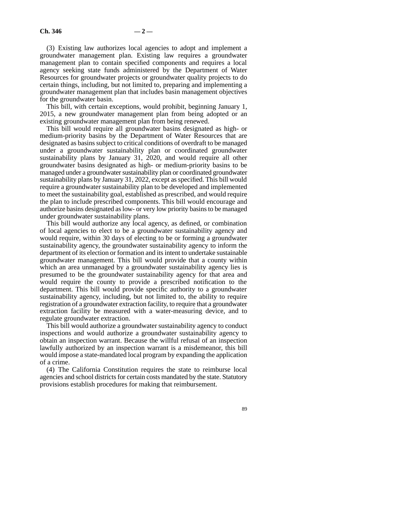(3) Existing law authorizes local agencies to adopt and implement a groundwater management plan. Existing law requires a groundwater management plan to contain specified components and requires a local agency seeking state funds administered by the Department of Water Resources for groundwater projects or groundwater quality projects to do certain things, including, but not limited to, preparing and implementing a groundwater management plan that includes basin management objectives for the groundwater basin.

This bill, with certain exceptions, would prohibit, beginning January 1, 2015, a new groundwater management plan from being adopted or an existing groundwater management plan from being renewed.

This bill would require all groundwater basins designated as high- or medium-priority basins by the Department of Water Resources that are designated as basins subject to critical conditions of overdraft to be managed under a groundwater sustainability plan or coordinated groundwater sustainability plans by January 31, 2020, and would require all other groundwater basins designated as high- or medium-priority basins to be managed under a groundwater sustainability plan or coordinated groundwater sustainability plans by January 31, 2022, except as specified. This bill would require a groundwater sustainability plan to be developed and implemented to meet the sustainability goal, established as prescribed, and would require the plan to include prescribed components. This bill would encourage and authorize basins designated as low- or very low priority basins to be managed under groundwater sustainability plans.

This bill would authorize any local agency, as defined, or combination of local agencies to elect to be a groundwater sustainability agency and would require, within 30 days of electing to be or forming a groundwater sustainability agency, the groundwater sustainability agency to inform the department of its election or formation and its intent to undertake sustainable groundwater management. This bill would provide that a county within which an area unmanaged by a groundwater sustainability agency lies is presumed to be the groundwater sustainability agency for that area and would require the county to provide a prescribed notification to the department. This bill would provide specific authority to a groundwater sustainability agency, including, but not limited to, the ability to require registration of a groundwater extraction facility, to require that a groundwater extraction facility be measured with a water-measuring device, and to regulate groundwater extraction.

This bill would authorize a groundwater sustainability agency to conduct inspections and would authorize a groundwater sustainability agency to obtain an inspection warrant. Because the willful refusal of an inspection lawfully authorized by an inspection warrant is a misdemeanor, this bill would impose a state-mandated local program by expanding the application of a crime.

(4) The California Constitution requires the state to reimburse local agencies and school districts for certain costs mandated by the state. Statutory provisions establish procedures for making that reimbursement.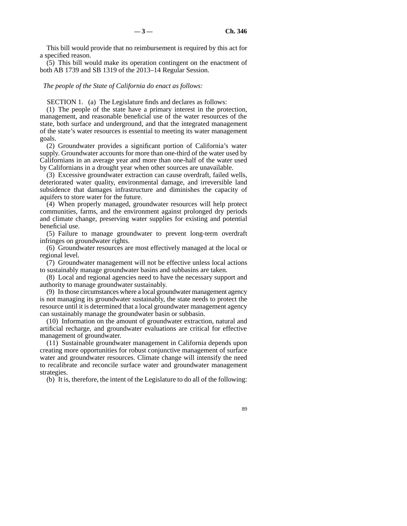This bill would provide that no reimbursement is required by this act for a specified reason.

(5) This bill would make its operation contingent on the enactment of both AB 1739 and SB 1319 of the 2013–14 Regular Session.

#### *The people of the State of California do enact as follows:*

SECTION 1. (a) The Legislature finds and declares as follows:

(1) The people of the state have a primary interest in the protection, management, and reasonable beneficial use of the water resources of the state, both surface and underground, and that the integrated management of the state's water resources is essential to meeting its water management goals.

(2) Groundwater provides a significant portion of California's water supply. Groundwater accounts for more than one-third of the water used by Californians in an average year and more than one-half of the water used by Californians in a drought year when other sources are unavailable.

(3) Excessive groundwater extraction can cause overdraft, failed wells, deteriorated water quality, environmental damage, and irreversible land subsidence that damages infrastructure and diminishes the capacity of aquifers to store water for the future.

(4) When properly managed, groundwater resources will help protect communities, farms, and the environment against prolonged dry periods and climate change, preserving water supplies for existing and potential beneficial use.

(5) Failure to manage groundwater to prevent long-term overdraft infringes on groundwater rights.

(6) Groundwater resources are most effectively managed at the local or regional level.

(7) Groundwater management will not be effective unless local actions to sustainably manage groundwater basins and subbasins are taken.

(8) Local and regional agencies need to have the necessary support and authority to manage groundwater sustainably.

(9) In those circumstances where a local groundwater management agency is not managing its groundwater sustainably, the state needs to protect the resource until it is determined that a local groundwater management agency can sustainably manage the groundwater basin or subbasin.

(10) Information on the amount of groundwater extraction, natural and artificial recharge, and groundwater evaluations are critical for effective management of groundwater.

(11) Sustainable groundwater management in California depends upon creating more opportunities for robust conjunctive management of surface water and groundwater resources. Climate change will intensify the need to recalibrate and reconcile surface water and groundwater management strategies.

(b) It is, therefore, the intent of the Legislature to do all of the following: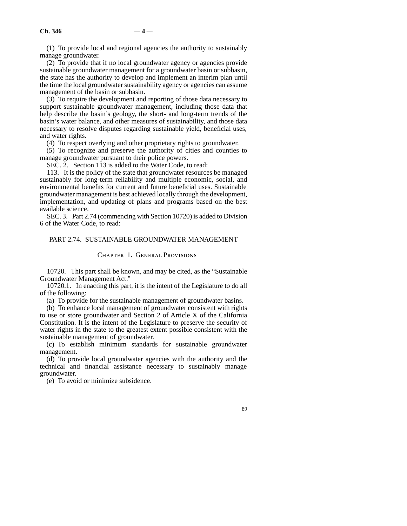(1) To provide local and regional agencies the authority to sustainably manage groundwater.

(2) To provide that if no local groundwater agency or agencies provide sustainable groundwater management for a groundwater basin or subbasin, the state has the authority to develop and implement an interim plan until the time the local groundwater sustainability agency or agencies can assume management of the basin or subbasin.

(3) To require the development and reporting of those data necessary to support sustainable groundwater management, including those data that help describe the basin's geology, the short- and long-term trends of the basin's water balance, and other measures of sustainability, and those data necessary to resolve disputes regarding sustainable yield, beneficial uses, and water rights.

(4) To respect overlying and other proprietary rights to groundwater.

(5) To recognize and preserve the authority of cities and counties to manage groundwater pursuant to their police powers.

SEC. 2. Section 113 is added to the Water Code, to read:

113. It is the policy of the state that groundwater resources be managed sustainably for long-term reliability and multiple economic, social, and environmental benefits for current and future beneficial uses. Sustainable groundwater management is best achieved locally through the development, implementation, and updating of plans and programs based on the best available science.

SEC. 3. Part 2.74 (commencing with Section 10720) is added to Division 6 of the Water Code, to read:

## PART 2.74. SUSTAINABLE GROUNDWATER MANAGEMENT

#### Chapter 1. General Provisions

10720. This part shall be known, and may be cited, as the "Sustainable Groundwater Management Act."

10720.1. In enacting this part, it is the intent of the Legislature to do all of the following:

(a) To provide for the sustainable management of groundwater basins.

(b) To enhance local management of groundwater consistent with rights to use or store groundwater and Section 2 of Article X of the California Constitution. It is the intent of the Legislature to preserve the security of water rights in the state to the greatest extent possible consistent with the sustainable management of groundwater.

(c) To establish minimum standards for sustainable groundwater management.

(d) To provide local groundwater agencies with the authority and the technical and financial assistance necessary to sustainably manage groundwater.

(e) To avoid or minimize subsidence.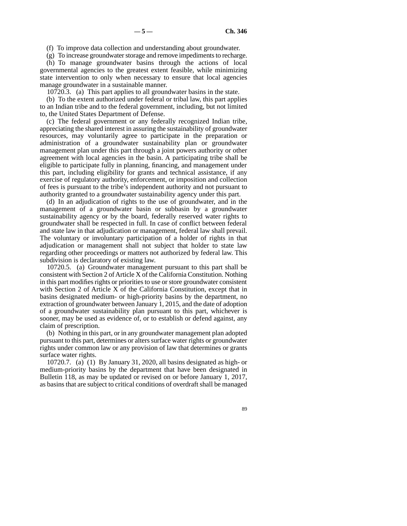(f) To improve data collection and understanding about groundwater.

(g) To increase groundwater storage and remove impediments to recharge.

(h) To manage groundwater basins through the actions of local governmental agencies to the greatest extent feasible, while minimizing state intervention to only when necessary to ensure that local agencies manage groundwater in a sustainable manner.

10720.3. (a) This part applies to all groundwater basins in the state.

(b) To the extent authorized under federal or tribal law, this part applies to an Indian tribe and to the federal government, including, but not limited to, the United States Department of Defense.

(c) The federal government or any federally recognized Indian tribe, appreciating the shared interest in assuring the sustainability of groundwater resources, may voluntarily agree to participate in the preparation or administration of a groundwater sustainability plan or groundwater management plan under this part through a joint powers authority or other agreement with local agencies in the basin. A participating tribe shall be eligible to participate fully in planning, financing, and management under this part, including eligibility for grants and technical assistance, if any exercise of regulatory authority, enforcement, or imposition and collection of fees is pursuant to the tribe's independent authority and not pursuant to authority granted to a groundwater sustainability agency under this part.

(d) In an adjudication of rights to the use of groundwater, and in the management of a groundwater basin or subbasin by a groundwater sustainability agency or by the board, federally reserved water rights to groundwater shall be respected in full. In case of conflict between federal and state law in that adjudication or management, federal law shall prevail. The voluntary or involuntary participation of a holder of rights in that adjudication or management shall not subject that holder to state law regarding other proceedings or matters not authorized by federal law. This subdivision is declaratory of existing law.

10720.5. (a) Groundwater management pursuant to this part shall be consistent with Section 2 of Article X of the California Constitution. Nothing in this part modifies rights or priorities to use or store groundwater consistent with Section 2 of Article X of the California Constitution, except that in basins designated medium- or high-priority basins by the department, no extraction of groundwater between January 1, 2015, and the date of adoption of a groundwater sustainability plan pursuant to this part, whichever is sooner, may be used as evidence of, or to establish or defend against, any claim of prescription.

(b) Nothing in this part, or in any groundwater management plan adopted pursuant to this part, determines or alters surface water rights or groundwater rights under common law or any provision of law that determines or grants surface water rights.

10720.7. (a) (1) By January 31, 2020, all basins designated as high- or medium-priority basins by the department that have been designated in Bulletin 118, as may be updated or revised on or before January 1, 2017, as basins that are subject to critical conditions of overdraft shall be managed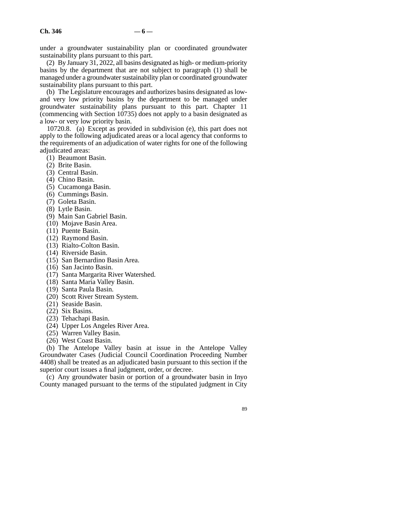under a groundwater sustainability plan or coordinated groundwater sustainability plans pursuant to this part.

(2) By January 31, 2022, all basins designated as high- or medium-priority basins by the department that are not subject to paragraph (1) shall be managed under a groundwater sustainability plan or coordinated groundwater sustainability plans pursuant to this part.

(b) The Legislature encourages and authorizes basins designated as lowand very low priority basins by the department to be managed under groundwater sustainability plans pursuant to this part. Chapter 11 (commencing with Section 10735) does not apply to a basin designated as a low- or very low priority basin.

10720.8. (a) Except as provided in subdivision (e), this part does not apply to the following adjudicated areas or a local agency that conforms to the requirements of an adjudication of water rights for one of the following adjudicated areas:

- (1) Beaumont Basin.
- (2) Brite Basin.
- (3) Central Basin.
- (4) Chino Basin.
- (5) Cucamonga Basin.
- (6) Cummings Basin.
- (7) Goleta Basin.
- (8) Lytle Basin.
- (9) Main San Gabriel Basin.
- (10) Mojave Basin Area.
- (11) Puente Basin.
- (12) Raymond Basin.
- (13) Rialto-Colton Basin.
- (14) Riverside Basin.
- (15) San Bernardino Basin Area.
- (16) San Jacinto Basin.
- (17) Santa Margarita River Watershed.
- (18) Santa Maria Valley Basin.
- (19) Santa Paula Basin.
- (20) Scott River Stream System.
- (21) Seaside Basin.
- (22) Six Basins.
- (23) Tehachapi Basin.
- (24) Upper Los Angeles River Area.
- (25) Warren Valley Basin.
- (26) West Coast Basin.

(b) The Antelope Valley basin at issue in the Antelope Valley Groundwater Cases (Judicial Council Coordination Proceeding Number 4408) shall be treated as an adjudicated basin pursuant to this section if the superior court issues a final judgment, order, or decree.

(c) Any groundwater basin or portion of a groundwater basin in Inyo County managed pursuant to the terms of the stipulated judgment in City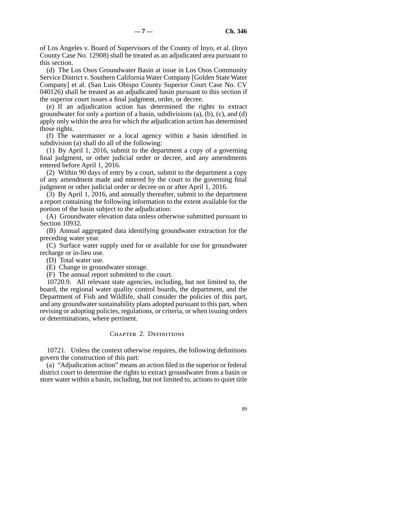of Los Angeles v. Board of Supervisors of the County of Inyo, et al. (Inyo County Case No. 12908) shall be treated as an adjudicated area pursuant to this section.

(d) The Los Osos Groundwater Basin at issue in Los Osos Community Service District v. Southern California Water Company [Golden State Water Company] et al. (San Luis Obispo County Superior Court Case No. CV 040126) shall be treated as an adjudicated basin pursuant to this section if the superior court issues a final judgment, order, or decree.

(e) If an adjudication action has determined the rights to extract groundwater for only a portion of a basin, subdivisions (a), (b), (c), and (d) apply only within the area for which the adjudication action has determined those rights.

(f) The watermaster or a local agency within a basin identified in subdivision (a) shall do all of the following:

(1) By April 1, 2016, submit to the department a copy of a governing final judgment, or other judicial order or decree, and any amendments entered before April 1, 2016.

(2) Within 90 days of entry by a court, submit to the department a copy of any amendment made and entered by the court to the governing final judgment or other judicial order or decree on or after April 1, 2016.

(3) By April 1, 2016, and annually thereafter, submit to the department a report containing the following information to the extent available for the portion of the basin subject to the adjudication:

(A) Groundwater elevation data unless otherwise submitted pursuant to Section 10932.

(B) Annual aggregated data identifying groundwater extraction for the preceding water year.

(C) Surface water supply used for or available for use for groundwater recharge or in-lieu use.

(D) Total water use.

(E) Change in groundwater storage.

(F) The annual report submitted to the court.

10720.9. All relevant state agencies, including, but not limited to, the board, the regional water quality control boards, the department, and the Department of Fish and Wildlife, shall consider the policies of this part, and any groundwater sustainability plans adopted pursuant to this part, when revising or adopting policies, regulations, or criteria, or when issuing orders or determinations, where pertinent.

### CHAPTER 2. DEFINITIONS

10721. Unless the context otherwise requires, the following definitions govern the construction of this part:

(a) "Adjudication action" means an action filed in the superior or federal district court to determine the rights to extract groundwater from a basin or store water within a basin, including, but not limited to, actions to quiet title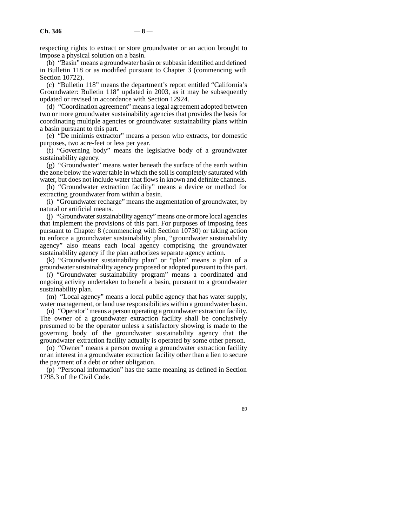respecting rights to extract or store groundwater or an action brought to impose a physical solution on a basin.

(b) "Basin" means a groundwater basin or subbasin identified and defined in Bulletin 118 or as modified pursuant to Chapter 3 (commencing with Section 10722).

(c) "Bulletin 118" means the department's report entitled "California's Groundwater: Bulletin 118" updated in 2003, as it may be subsequently updated or revised in accordance with Section 12924.

(d) "Coordination agreement" means a legal agreement adopted between two or more groundwater sustainability agencies that provides the basis for coordinating multiple agencies or groundwater sustainability plans within a basin pursuant to this part.

(e) "De minimis extractor" means a person who extracts, for domestic purposes, two acre-feet or less per year.

(f) "Governing body" means the legislative body of a groundwater sustainability agency.

(g) "Groundwater" means water beneath the surface of the earth within the zone below the water table in which the soil is completely saturated with water, but does not include water that flows in known and definite channels.

(h) "Groundwater extraction facility" means a device or method for extracting groundwater from within a basin.

(i) "Groundwater recharge" means the augmentation of groundwater, by natural or artificial means.

(j) "Groundwater sustainability agency" means one or more local agencies that implement the provisions of this part. For purposes of imposing fees pursuant to Chapter 8 (commencing with Section 10730) or taking action to enforce a groundwater sustainability plan, "groundwater sustainability agency" also means each local agency comprising the groundwater sustainability agency if the plan authorizes separate agency action.

(k) "Groundwater sustainability plan" or "plan" means a plan of a groundwater sustainability agency proposed or adopted pursuant to this part.

(*l*) "Groundwater sustainability program" means a coordinated and ongoing activity undertaken to benefit a basin, pursuant to a groundwater sustainability plan.

(m) "Local agency" means a local public agency that has water supply, water management, or land use responsibilities within a groundwater basin.

(n) "Operator" means a person operating a groundwater extraction facility. The owner of a groundwater extraction facility shall be conclusively presumed to be the operator unless a satisfactory showing is made to the governing body of the groundwater sustainability agency that the groundwater extraction facility actually is operated by some other person.

(o) "Owner" means a person owning a groundwater extraction facility or an interest in a groundwater extraction facility other than a lien to secure the payment of a debt or other obligation.

(p) "Personal information" has the same meaning as defined in Section 1798.3 of the Civil Code.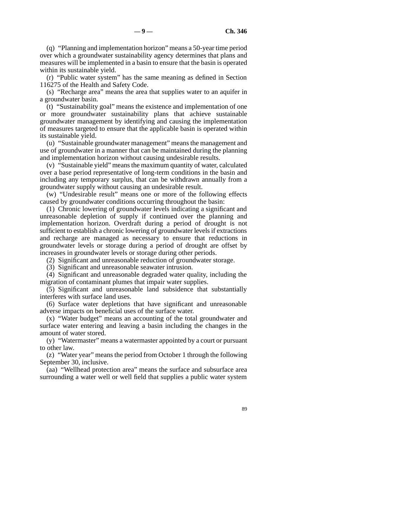(q) "Planning and implementation horizon" means a 50-year time period over which a groundwater sustainability agency determines that plans and measures will be implemented in a basin to ensure that the basin is operated within its sustainable yield.

(r) "Public water system" has the same meaning as defined in Section 116275 of the Health and Safety Code.

(s) "Recharge area" means the area that supplies water to an aquifer in a groundwater basin.

(t) "Sustainability goal" means the existence and implementation of one or more groundwater sustainability plans that achieve sustainable groundwater management by identifying and causing the implementation of measures targeted to ensure that the applicable basin is operated within its sustainable yield.

(u) "Sustainable groundwater management" means the management and use of groundwater in a manner that can be maintained during the planning and implementation horizon without causing undesirable results.

(v) "Sustainable yield" means the maximum quantity of water, calculated over a base period representative of long-term conditions in the basin and including any temporary surplus, that can be withdrawn annually from a groundwater supply without causing an undesirable result.

(w) "Undesirable result" means one or more of the following effects caused by groundwater conditions occurring throughout the basin:

(1) Chronic lowering of groundwater levels indicating a significant and unreasonable depletion of supply if continued over the planning and implementation horizon. Overdraft during a period of drought is not sufficient to establish a chronic lowering of groundwater levels if extractions and recharge are managed as necessary to ensure that reductions in groundwater levels or storage during a period of drought are offset by increases in groundwater levels or storage during other periods.

(2) Significant and unreasonable reduction of groundwater storage.

(3) Significant and unreasonable seawater intrusion.

(4) Significant and unreasonable degraded water quality, including the migration of contaminant plumes that impair water supplies.

(5) Significant and unreasonable land subsidence that substantially interferes with surface land uses.

(6) Surface water depletions that have significant and unreasonable adverse impacts on beneficial uses of the surface water.

(x) "Water budget" means an accounting of the total groundwater and surface water entering and leaving a basin including the changes in the amount of water stored.

(y) "Watermaster" means a watermaster appointed by a court or pursuant to other law.

(z) "Water year" means the period from October 1 through the following September 30, inclusive.

(aa) "Wellhead protection area" means the surface and subsurface area surrounding a water well or well field that supplies a public water system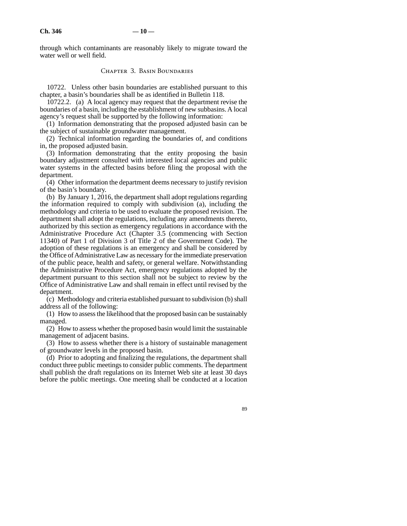through which contaminants are reasonably likely to migrate toward the water well or well field.

#### Chapter 3. Basin Boundaries

10722. Unless other basin boundaries are established pursuant to this chapter, a basin's boundaries shall be as identified in Bulletin 118.

10722.2. (a) A local agency may request that the department revise the boundaries of a basin, including the establishment of new subbasins. A local agency's request shall be supported by the following information:

(1) Information demonstrating that the proposed adjusted basin can be the subject of sustainable groundwater management.

(2) Technical information regarding the boundaries of, and conditions in, the proposed adjusted basin.

(3) Information demonstrating that the entity proposing the basin boundary adjustment consulted with interested local agencies and public water systems in the affected basins before filing the proposal with the department.

(4) Other information the department deems necessary to justify revision of the basin's boundary.

(b) By January 1, 2016, the department shall adopt regulations regarding the information required to comply with subdivision (a), including the methodology and criteria to be used to evaluate the proposed revision. The department shall adopt the regulations, including any amendments thereto, authorized by this section as emergency regulations in accordance with the Administrative Procedure Act (Chapter 3.5 (commencing with Section 11340) of Part 1 of Division 3 of Title 2 of the Government Code). The adoption of these regulations is an emergency and shall be considered by the Office of Administrative Law as necessary for the immediate preservation of the public peace, health and safety, or general welfare. Notwithstanding the Administrative Procedure Act, emergency regulations adopted by the department pursuant to this section shall not be subject to review by the Office of Administrative Law and shall remain in effect until revised by the department.

(c) Methodology and criteria established pursuant to subdivision (b) shall address all of the following:

(1) How to assess the likelihood that the proposed basin can be sustainably managed.

(2) How to assess whether the proposed basin would limit the sustainable management of adjacent basins.

(3) How to assess whether there is a history of sustainable management of groundwater levels in the proposed basin.

(d) Prior to adopting and finalizing the regulations, the department shall conduct three public meetings to consider public comments. The department shall publish the draft regulations on its Internet Web site at least 30 days before the public meetings. One meeting shall be conducted at a location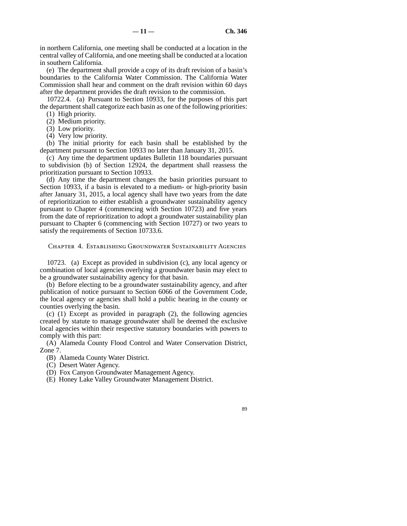in northern California, one meeting shall be conducted at a location in the central valley of California, and one meeting shall be conducted at a location in southern California.

(e) The department shall provide a copy of its draft revision of a basin's boundaries to the California Water Commission. The California Water Commission shall hear and comment on the draft revision within 60 days after the department provides the draft revision to the commission.

10722.4. (a) Pursuant to Section 10933, for the purposes of this part the department shall categorize each basin as one of the following priorities:

(1) High priority.

(2) Medium priority.

(3) Low priority.

(4) Very low priority.

(b) The initial priority for each basin shall be established by the department pursuant to Section 10933 no later than January 31, 2015.

(c) Any time the department updates Bulletin 118 boundaries pursuant to subdivision (b) of Section 12924, the department shall reassess the prioritization pursuant to Section 10933.

(d) Any time the department changes the basin priorities pursuant to Section 10933, if a basin is elevated to a medium- or high-priority basin after January 31, 2015, a local agency shall have two years from the date of reprioritization to either establish a groundwater sustainability agency pursuant to Chapter 4 (commencing with Section 10723) and five years from the date of reprioritization to adopt a groundwater sustainability plan pursuant to Chapter 6 (commencing with Section 10727) or two years to satisfy the requirements of Section 10733.6.

Chapter 4. Establishing Groundwater Sustainability Agencies

10723. (a) Except as provided in subdivision (c), any local agency or combination of local agencies overlying a groundwater basin may elect to be a groundwater sustainability agency for that basin.

(b) Before electing to be a groundwater sustainability agency, and after publication of notice pursuant to Section 6066 of the Government Code, the local agency or agencies shall hold a public hearing in the county or counties overlying the basin.

(c) (1) Except as provided in paragraph (2), the following agencies created by statute to manage groundwater shall be deemed the exclusive local agencies within their respective statutory boundaries with powers to comply with this part:

(A) Alameda County Flood Control and Water Conservation District, Zone 7.

(B) Alameda County Water District.

(C) Desert Water Agency.

(D) Fox Canyon Groundwater Management Agency.

(E) Honey Lake Valley Groundwater Management District.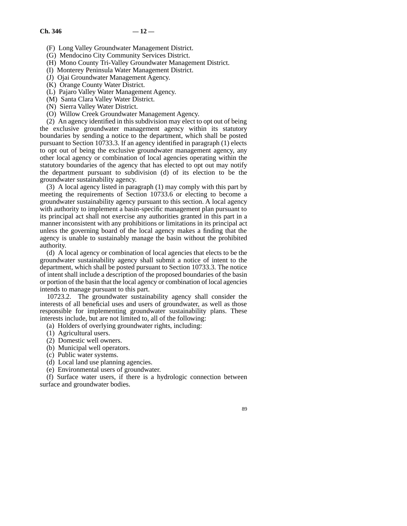- (F) Long Valley Groundwater Management District.
- (G) Mendocino City Community Services District.
- (H) Mono County Tri-Valley Groundwater Management District.
- (I) Monterey Peninsula Water Management District.
- (J) Ojai Groundwater Management Agency.
- (K) Orange County Water District.
- (L) Pajaro Valley Water Management Agency.
- (M) Santa Clara Valley Water District.
- (N) Sierra Valley Water District.
- (O) Willow Creek Groundwater Management Agency.

(2) An agency identified in this subdivision may elect to opt out of being the exclusive groundwater management agency within its statutory boundaries by sending a notice to the department, which shall be posted pursuant to Section 10733.3. If an agency identified in paragraph (1) elects to opt out of being the exclusive groundwater management agency, any other local agency or combination of local agencies operating within the statutory boundaries of the agency that has elected to opt out may notify the department pursuant to subdivision (d) of its election to be the groundwater sustainability agency.

(3) A local agency listed in paragraph (1) may comply with this part by meeting the requirements of Section 10733.6 or electing to become a groundwater sustainability agency pursuant to this section. A local agency with authority to implement a basin-specific management plan pursuant to its principal act shall not exercise any authorities granted in this part in a manner inconsistent with any prohibitions or limitations in its principal act unless the governing board of the local agency makes a finding that the agency is unable to sustainably manage the basin without the prohibited authority.

(d) A local agency or combination of local agencies that elects to be the groundwater sustainability agency shall submit a notice of intent to the department, which shall be posted pursuant to Section 10733.3. The notice of intent shall include a description of the proposed boundaries of the basin or portion of the basin that the local agency or combination of local agencies intends to manage pursuant to this part.

10723.2. The groundwater sustainability agency shall consider the interests of all beneficial uses and users of groundwater, as well as those responsible for implementing groundwater sustainability plans. These interests include, but are not limited to, all of the following:

(a) Holders of overlying groundwater rights, including:

- (1) Agricultural users.
- (2) Domestic well owners.
- (b) Municipal well operators.
- (c) Public water systems.
- (d) Local land use planning agencies.
- (e) Environmental users of groundwater.

(f) Surface water users, if there is a hydrologic connection between surface and groundwater bodies.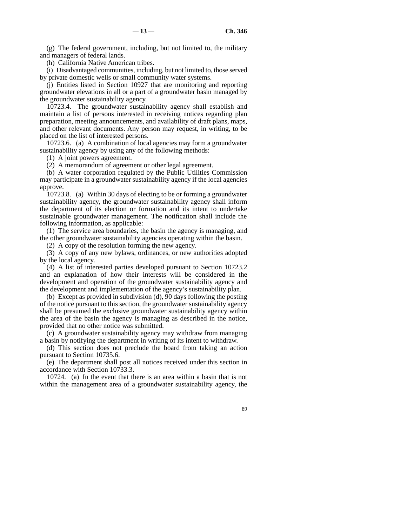(g) The federal government, including, but not limited to, the military and managers of federal lands.

(h) California Native American tribes.

(i) Disadvantaged communities, including, but not limited to, those served by private domestic wells or small community water systems.

(j) Entities listed in Section 10927 that are monitoring and reporting groundwater elevations in all or a part of a groundwater basin managed by the groundwater sustainability agency.

10723.4. The groundwater sustainability agency shall establish and maintain a list of persons interested in receiving notices regarding plan preparation, meeting announcements, and availability of draft plans, maps, and other relevant documents. Any person may request, in writing, to be placed on the list of interested persons.

10723.6. (a) A combination of local agencies may form a groundwater sustainability agency by using any of the following methods:

(1) A joint powers agreement.

(2) A memorandum of agreement or other legal agreement.

(b) A water corporation regulated by the Public Utilities Commission may participate in a groundwater sustainability agency if the local agencies approve.

10723.8. (a) Within 30 days of electing to be or forming a groundwater sustainability agency, the groundwater sustainability agency shall inform the department of its election or formation and its intent to undertake sustainable groundwater management. The notification shall include the following information, as applicable:

(1) The service area boundaries, the basin the agency is managing, and the other groundwater sustainability agencies operating within the basin.

(2) A copy of the resolution forming the new agency.

(3) A copy of any new bylaws, ordinances, or new authorities adopted by the local agency.

(4) A list of interested parties developed pursuant to Section 10723.2 and an explanation of how their interests will be considered in the development and operation of the groundwater sustainability agency and the development and implementation of the agency's sustainability plan.

(b) Except as provided in subdivision (d), 90 days following the posting of the notice pursuant to this section, the groundwater sustainability agency shall be presumed the exclusive groundwater sustainability agency within the area of the basin the agency is managing as described in the notice, provided that no other notice was submitted.

(c) A groundwater sustainability agency may withdraw from managing a basin by notifying the department in writing of its intent to withdraw.

(d) This section does not preclude the board from taking an action pursuant to Section 10735.6.

(e) The department shall post all notices received under this section in accordance with Section 10733.3.

10724. (a) In the event that there is an area within a basin that is not within the management area of a groundwater sustainability agency, the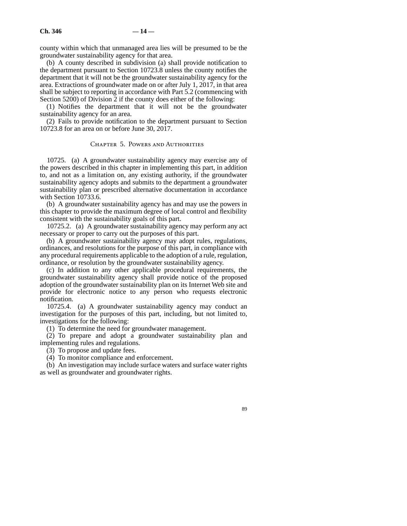county within which that unmanaged area lies will be presumed to be the groundwater sustainability agency for that area.

(b) A county described in subdivision (a) shall provide notification to the department pursuant to Section 10723.8 unless the county notifies the department that it will not be the groundwater sustainability agency for the area. Extractions of groundwater made on or after July 1, 2017, in that area shall be subject to reporting in accordance with Part 5.2 (commencing with Section 5200) of Division 2 if the county does either of the following:

(1) Notifies the department that it will not be the groundwater sustainability agency for an area.

(2) Fails to provide notification to the department pursuant to Section 10723.8 for an area on or before June 30, 2017.

#### Chapter 5. Powers and Authorities

10725. (a) A groundwater sustainability agency may exercise any of the powers described in this chapter in implementing this part, in addition to, and not as a limitation on, any existing authority, if the groundwater sustainability agency adopts and submits to the department a groundwater sustainability plan or prescribed alternative documentation in accordance with Section 10733.6.

(b) A groundwater sustainability agency has and may use the powers in this chapter to provide the maximum degree of local control and flexibility consistent with the sustainability goals of this part.

10725.2. (a) A groundwater sustainability agency may perform any act necessary or proper to carry out the purposes of this part.

(b) A groundwater sustainability agency may adopt rules, regulations, ordinances, and resolutions for the purpose of this part, in compliance with any procedural requirements applicable to the adoption of a rule, regulation, ordinance, or resolution by the groundwater sustainability agency.

(c) In addition to any other applicable procedural requirements, the groundwater sustainability agency shall provide notice of the proposed adoption of the groundwater sustainability plan on its Internet Web site and provide for electronic notice to any person who requests electronic notification.

10725.4. (a) A groundwater sustainability agency may conduct an investigation for the purposes of this part, including, but not limited to, investigations for the following:

(1) To determine the need for groundwater management.

(2) To prepare and adopt a groundwater sustainability plan and implementing rules and regulations.

(3) To propose and update fees.

(4) To monitor compliance and enforcement.

(b) An investigation may include surface waters and surface water rights as well as groundwater and groundwater rights.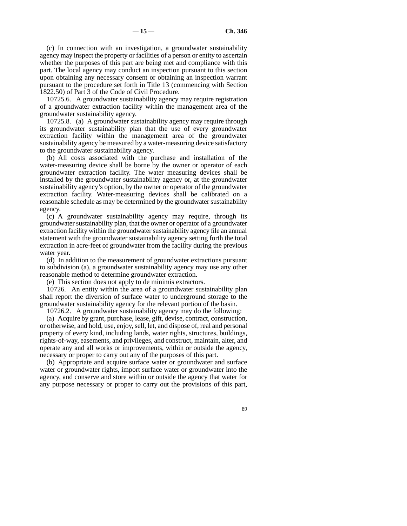(c) In connection with an investigation, a groundwater sustainability agency may inspect the property or facilities of a person or entity to ascertain whether the purposes of this part are being met and compliance with this part. The local agency may conduct an inspection pursuant to this section upon obtaining any necessary consent or obtaining an inspection warrant pursuant to the procedure set forth in Title 13 (commencing with Section 1822.50) of Part 3 of the Code of Civil Procedure.

10725.6. A groundwater sustainability agency may require registration of a groundwater extraction facility within the management area of the groundwater sustainability agency.

10725.8. (a) A groundwater sustainability agency may require through its groundwater sustainability plan that the use of every groundwater extraction facility within the management area of the groundwater sustainability agency be measured by a water-measuring device satisfactory to the groundwater sustainability agency.

(b) All costs associated with the purchase and installation of the water-measuring device shall be borne by the owner or operator of each groundwater extraction facility. The water measuring devices shall be installed by the groundwater sustainability agency or, at the groundwater sustainability agency's option, by the owner or operator of the groundwater extraction facility. Water-measuring devices shall be calibrated on a reasonable schedule as may be determined by the groundwater sustainability agency.

(c) A groundwater sustainability agency may require, through its groundwater sustainability plan, that the owner or operator of a groundwater extraction facility within the groundwater sustainability agency file an annual statement with the groundwater sustainability agency setting forth the total extraction in acre-feet of groundwater from the facility during the previous water year.

(d) In addition to the measurement of groundwater extractions pursuant to subdivision (a), a groundwater sustainability agency may use any other reasonable method to determine groundwater extraction.

(e) This section does not apply to de minimis extractors.

10726. An entity within the area of a groundwater sustainability plan shall report the diversion of surface water to underground storage to the groundwater sustainability agency for the relevant portion of the basin.

10726.2. A groundwater sustainability agency may do the following:

(a) Acquire by grant, purchase, lease, gift, devise, contract, construction, or otherwise, and hold, use, enjoy, sell, let, and dispose of, real and personal property of every kind, including lands, water rights, structures, buildings, rights-of-way, easements, and privileges, and construct, maintain, alter, and operate any and all works or improvements, within or outside the agency, necessary or proper to carry out any of the purposes of this part.

(b) Appropriate and acquire surface water or groundwater and surface water or groundwater rights, import surface water or groundwater into the agency, and conserve and store within or outside the agency that water for any purpose necessary or proper to carry out the provisions of this part,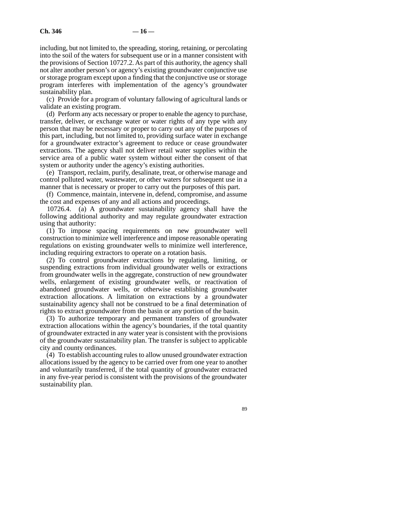including, but not limited to, the spreading, storing, retaining, or percolating into the soil of the waters for subsequent use or in a manner consistent with the provisions of Section 10727.2. As part of this authority, the agency shall not alter another person's or agency's existing groundwater conjunctive use or storage program except upon a finding that the conjunctive use or storage program interferes with implementation of the agency's groundwater sustainability plan.

(c) Provide for a program of voluntary fallowing of agricultural lands or validate an existing program.

(d) Perform any acts necessary or proper to enable the agency to purchase, transfer, deliver, or exchange water or water rights of any type with any person that may be necessary or proper to carry out any of the purposes of this part, including, but not limited to, providing surface water in exchange for a groundwater extractor's agreement to reduce or cease groundwater extractions. The agency shall not deliver retail water supplies within the service area of a public water system without either the consent of that system or authority under the agency's existing authorities.

(e) Transport, reclaim, purify, desalinate, treat, or otherwise manage and control polluted water, wastewater, or other waters for subsequent use in a manner that is necessary or proper to carry out the purposes of this part.

(f) Commence, maintain, intervene in, defend, compromise, and assume the cost and expenses of any and all actions and proceedings.

10726.4. (a) A groundwater sustainability agency shall have the following additional authority and may regulate groundwater extraction using that authority:

(1) To impose spacing requirements on new groundwater well construction to minimize well interference and impose reasonable operating regulations on existing groundwater wells to minimize well interference, including requiring extractors to operate on a rotation basis.

(2) To control groundwater extractions by regulating, limiting, or suspending extractions from individual groundwater wells or extractions from groundwater wells in the aggregate, construction of new groundwater wells, enlargement of existing groundwater wells, or reactivation of abandoned groundwater wells, or otherwise establishing groundwater extraction allocations. A limitation on extractions by a groundwater sustainability agency shall not be construed to be a final determination of rights to extract groundwater from the basin or any portion of the basin.

(3) To authorize temporary and permanent transfers of groundwater extraction allocations within the agency's boundaries, if the total quantity of groundwater extracted in any water year is consistent with the provisions of the groundwater sustainability plan. The transfer is subject to applicable city and county ordinances.

(4) To establish accounting rules to allow unused groundwater extraction allocations issued by the agency to be carried over from one year to another and voluntarily transferred, if the total quantity of groundwater extracted in any five-year period is consistent with the provisions of the groundwater sustainability plan.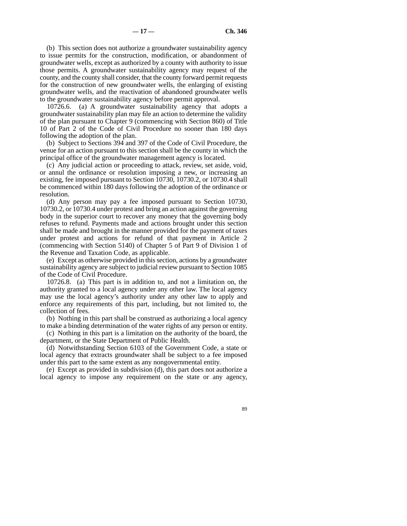(b) This section does not authorize a groundwater sustainability agency to issue permits for the construction, modification, or abandonment of groundwater wells, except as authorized by a county with authority to issue those permits. A groundwater sustainability agency may request of the county, and the county shall consider, that the county forward permit requests for the construction of new groundwater wells, the enlarging of existing groundwater wells, and the reactivation of abandoned groundwater wells to the groundwater sustainability agency before permit approval.

10726.6. (a) A groundwater sustainability agency that adopts a groundwater sustainability plan may file an action to determine the validity of the plan pursuant to Chapter 9 (commencing with Section 860) of Title 10 of Part 2 of the Code of Civil Procedure no sooner than 180 days following the adoption of the plan.

(b) Subject to Sections 394 and 397 of the Code of Civil Procedure, the venue for an action pursuant to this section shall be the county in which the principal office of the groundwater management agency is located.

(c) Any judicial action or proceeding to attack, review, set aside, void, or annul the ordinance or resolution imposing a new, or increasing an existing, fee imposed pursuant to Section 10730, 10730.2, or 10730.4 shall be commenced within 180 days following the adoption of the ordinance or resolution.

(d) Any person may pay a fee imposed pursuant to Section 10730, 10730.2, or 10730.4 under protest and bring an action against the governing body in the superior court to recover any money that the governing body refuses to refund. Payments made and actions brought under this section shall be made and brought in the manner provided for the payment of taxes under protest and actions for refund of that payment in Article 2 (commencing with Section 5140) of Chapter 5 of Part 9 of Division 1 of the Revenue and Taxation Code, as applicable.

(e) Except as otherwise provided in this section, actions by a groundwater sustainability agency are subject to judicial review pursuant to Section 1085 of the Code of Civil Procedure.

10726.8. (a) This part is in addition to, and not a limitation on, the authority granted to a local agency under any other law. The local agency may use the local agency's authority under any other law to apply and enforce any requirements of this part, including, but not limited to, the collection of fees.

(b) Nothing in this part shall be construed as authorizing a local agency to make a binding determination of the water rights of any person or entity.

(c) Nothing in this part is a limitation on the authority of the board, the department, or the State Department of Public Health.

(d) Notwithstanding Section 6103 of the Government Code, a state or local agency that extracts groundwater shall be subject to a fee imposed under this part to the same extent as any nongovernmental entity.

(e) Except as provided in subdivision (d), this part does not authorize a local agency to impose any requirement on the state or any agency,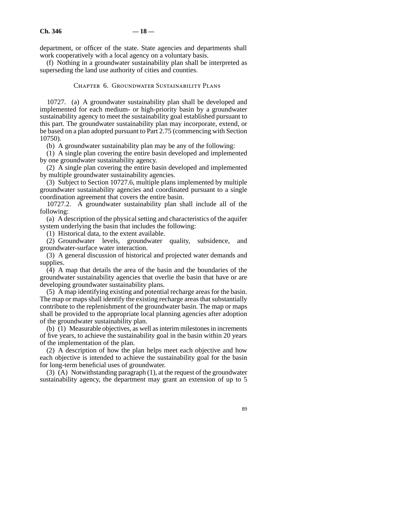department, or officer of the state. State agencies and departments shall work cooperatively with a local agency on a voluntary basis.

(f) Nothing in a groundwater sustainability plan shall be interpreted as superseding the land use authority of cities and counties.

#### Chapter 6. Groundwater Sustainability Plans

10727. (a) A groundwater sustainability plan shall be developed and implemented for each medium- or high-priority basin by a groundwater sustainability agency to meet the sustainability goal established pursuant to this part. The groundwater sustainability plan may incorporate, extend, or be based on a plan adopted pursuant to Part 2.75 (commencing with Section 10750).

(b) A groundwater sustainability plan may be any of the following:

(1) A single plan covering the entire basin developed and implemented by one groundwater sustainability agency.

(2) A single plan covering the entire basin developed and implemented by multiple groundwater sustainability agencies.

(3) Subject to Section 10727.6, multiple plans implemented by multiple groundwater sustainability agencies and coordinated pursuant to a single coordination agreement that covers the entire basin.

10727.2. A groundwater sustainability plan shall include all of the following:

(a) A description of the physical setting and characteristics of the aquifer system underlying the basin that includes the following:

(1) Historical data, to the extent available.

(2) Groundwater levels, groundwater quality, subsidence, and groundwater-surface water interaction.

(3) A general discussion of historical and projected water demands and supplies.

(4) A map that details the area of the basin and the boundaries of the groundwater sustainability agencies that overlie the basin that have or are developing groundwater sustainability plans.

(5) A map identifying existing and potential recharge areas for the basin. The map or maps shall identify the existing recharge areas that substantially contribute to the replenishment of the groundwater basin. The map or maps shall be provided to the appropriate local planning agencies after adoption of the groundwater sustainability plan.

(b)  $(1)$  Measurable objectives, as well as interim milestones in increments of five years, to achieve the sustainability goal in the basin within 20 years of the implementation of the plan.

(2) A description of how the plan helps meet each objective and how each objective is intended to achieve the sustainability goal for the basin for long-term beneficial uses of groundwater.

(3) (A) Notwithstanding paragraph (1), at the request of the groundwater sustainability agency, the department may grant an extension of up to 5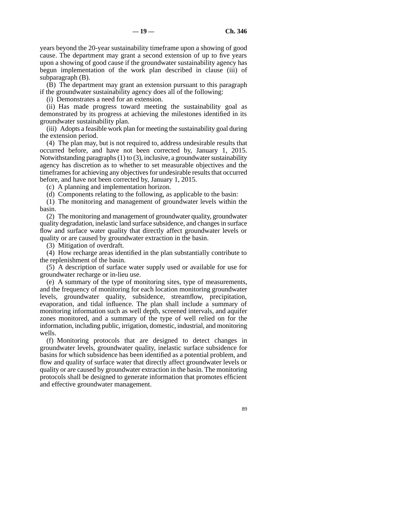years beyond the 20-year sustainability timeframe upon a showing of good cause. The department may grant a second extension of up to five years upon a showing of good cause if the groundwater sustainability agency has begun implementation of the work plan described in clause (iii) of subparagraph (B).

(B) The department may grant an extension pursuant to this paragraph if the groundwater sustainability agency does all of the following:

(i) Demonstrates a need for an extension.

(ii) Has made progress toward meeting the sustainability goal as demonstrated by its progress at achieving the milestones identified in its groundwater sustainability plan.

(iii) Adopts a feasible work plan for meeting the sustainability goal during the extension period.

(4) The plan may, but is not required to, address undesirable results that occurred before, and have not been corrected by, January 1, 2015. Notwithstanding paragraphs (1) to (3), inclusive, a groundwater sustainability agency has discretion as to whether to set measurable objectives and the timeframes for achieving any objectives for undesirable results that occurred before, and have not been corrected by, January 1, 2015.

(c) A planning and implementation horizon.

(d) Components relating to the following, as applicable to the basin:

(1) The monitoring and management of groundwater levels within the basin.

(2) The monitoring and management of groundwater quality, groundwater quality degradation, inelastic land surface subsidence, and changes in surface flow and surface water quality that directly affect groundwater levels or quality or are caused by groundwater extraction in the basin.

(3) Mitigation of overdraft.

(4) How recharge areas identified in the plan substantially contribute to the replenishment of the basin.

(5) A description of surface water supply used or available for use for groundwater recharge or in-lieu use.

(e) A summary of the type of monitoring sites, type of measurements, and the frequency of monitoring for each location monitoring groundwater levels, groundwater quality, subsidence, streamflow, precipitation, evaporation, and tidal influence. The plan shall include a summary of monitoring information such as well depth, screened intervals, and aquifer zones monitored, and a summary of the type of well relied on for the information, including public, irrigation, domestic, industrial, and monitoring wells.

(f) Monitoring protocols that are designed to detect changes in groundwater levels, groundwater quality, inelastic surface subsidence for basins for which subsidence has been identified as a potential problem, and flow and quality of surface water that directly affect groundwater levels or quality or are caused by groundwater extraction in the basin. The monitoring protocols shall be designed to generate information that promotes efficient and effective groundwater management.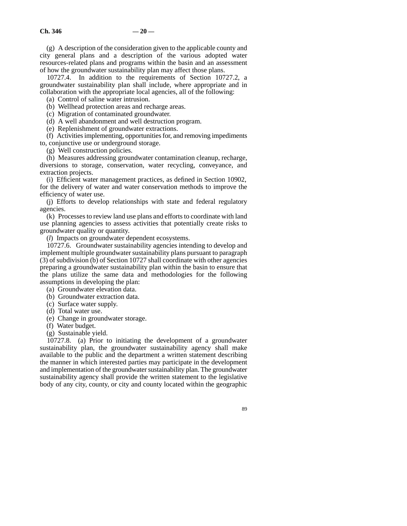(g) A description of the consideration given to the applicable county and city general plans and a description of the various adopted water resources-related plans and programs within the basin and an assessment of how the groundwater sustainability plan may affect those plans.

10727.4. In addition to the requirements of Section 10727.2, a groundwater sustainability plan shall include, where appropriate and in collaboration with the appropriate local agencies, all of the following:

(a) Control of saline water intrusion.

(b) Wellhead protection areas and recharge areas.

(c) Migration of contaminated groundwater.

(d) A well abandonment and well destruction program.

(e) Replenishment of groundwater extractions.

(f) Activities implementing, opportunities for, and removing impediments to, conjunctive use or underground storage.

(g) Well construction policies.

(h) Measures addressing groundwater contamination cleanup, recharge, diversions to storage, conservation, water recycling, conveyance, and extraction projects.

(i) Efficient water management practices, as defined in Section 10902, for the delivery of water and water conservation methods to improve the efficiency of water use.

(j) Efforts to develop relationships with state and federal regulatory agencies.

(k) Processes to review land use plans and efforts to coordinate with land use planning agencies to assess activities that potentially create risks to groundwater quality or quantity.

(*l*) Impacts on groundwater dependent ecosystems.

10727.6. Groundwater sustainability agencies intending to develop and implement multiple groundwater sustainability plans pursuant to paragraph (3) of subdivision (b) of Section 10727 shall coordinate with other agencies preparing a groundwater sustainability plan within the basin to ensure that the plans utilize the same data and methodologies for the following assumptions in developing the plan:

(a) Groundwater elevation data.

(b) Groundwater extraction data.

- (c) Surface water supply.
- (d) Total water use.
- (e) Change in groundwater storage.
- (f) Water budget.
- (g) Sustainable yield.

10727.8. (a) Prior to initiating the development of a groundwater sustainability plan, the groundwater sustainability agency shall make available to the public and the department a written statement describing the manner in which interested parties may participate in the development and implementation of the groundwater sustainability plan. The groundwater sustainability agency shall provide the written statement to the legislative body of any city, county, or city and county located within the geographic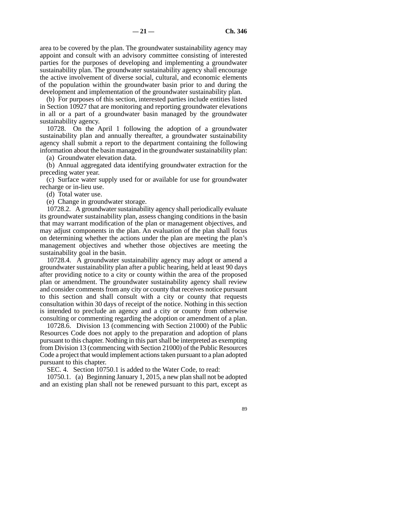area to be covered by the plan. The groundwater sustainability agency may appoint and consult with an advisory committee consisting of interested parties for the purposes of developing and implementing a groundwater sustainability plan. The groundwater sustainability agency shall encourage the active involvement of diverse social, cultural, and economic elements of the population within the groundwater basin prior to and during the development and implementation of the groundwater sustainability plan.

(b) For purposes of this section, interested parties include entities listed in Section 10927 that are monitoring and reporting groundwater elevations in all or a part of a groundwater basin managed by the groundwater sustainability agency.

10728. On the April 1 following the adoption of a groundwater sustainability plan and annually thereafter, a groundwater sustainability agency shall submit a report to the department containing the following information about the basin managed in the groundwater sustainability plan:

(a) Groundwater elevation data.

(b) Annual aggregated data identifying groundwater extraction for the preceding water year.

(c) Surface water supply used for or available for use for groundwater recharge or in-lieu use.

(d) Total water use.

(e) Change in groundwater storage.

10728.2. A groundwater sustainability agency shall periodically evaluate its groundwater sustainability plan, assess changing conditions in the basin that may warrant modification of the plan or management objectives, and may adjust components in the plan. An evaluation of the plan shall focus on determining whether the actions under the plan are meeting the plan's management objectives and whether those objectives are meeting the sustainability goal in the basin.

10728.4. A groundwater sustainability agency may adopt or amend a groundwater sustainability plan after a public hearing, held at least 90 days after providing notice to a city or county within the area of the proposed plan or amendment. The groundwater sustainability agency shall review and consider comments from any city or county that receives notice pursuant to this section and shall consult with a city or county that requests consultation within 30 days of receipt of the notice. Nothing in this section is intended to preclude an agency and a city or county from otherwise consulting or commenting regarding the adoption or amendment of a plan.

10728.6. Division 13 (commencing with Section 21000) of the Public Resources Code does not apply to the preparation and adoption of plans pursuant to this chapter. Nothing in this part shall be interpreted as exempting from Division 13 (commencing with Section 21000) of the Public Resources Code a project that would implement actions taken pursuant to a plan adopted pursuant to this chapter.

SEC. 4. Section 10750.1 is added to the Water Code, to read:

10750.1. (a) Beginning January 1, 2015, a new plan shall not be adopted and an existing plan shall not be renewed pursuant to this part, except as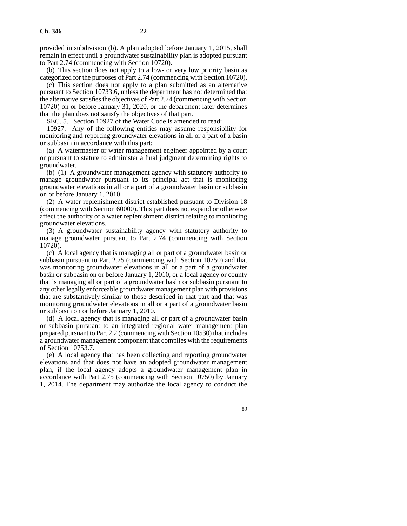provided in subdivision (b). A plan adopted before January 1, 2015, shall remain in effect until a groundwater sustainability plan is adopted pursuant to Part 2.74 (commencing with Section 10720).

(b) This section does not apply to a low- or very low priority basin as categorized for the purposes of Part 2.74 (commencing with Section 10720).

(c) This section does not apply to a plan submitted as an alternative pursuant to Section 10733.6, unless the department has not determined that the alternative satisfies the objectives of Part 2.74 (commencing with Section 10720) on or before January 31, 2020, or the department later determines that the plan does not satisfy the objectives of that part.

SEC. 5. Section 10927 of the Water Code is amended to read:

10927. Any of the following entities may assume responsibility for monitoring and reporting groundwater elevations in all or a part of a basin or subbasin in accordance with this part:

(a) A watermaster or water management engineer appointed by a court or pursuant to statute to administer a final judgment determining rights to groundwater.

(b) (1) A groundwater management agency with statutory authority to manage groundwater pursuant to its principal act that is monitoring groundwater elevations in all or a part of a groundwater basin or subbasin on or before January 1, 2010.

(2) A water replenishment district established pursuant to Division 18 (commencing with Section 60000). This part does not expand or otherwise affect the authority of a water replenishment district relating to monitoring groundwater elevations.

(3) A groundwater sustainability agency with statutory authority to manage groundwater pursuant to Part 2.74 (commencing with Section 10720).

(c) A local agency that is managing all or part of a groundwater basin or subbasin pursuant to Part 2.75 (commencing with Section 10750) and that was monitoring groundwater elevations in all or a part of a groundwater basin or subbasin on or before January 1, 2010, or a local agency or county that is managing all or part of a groundwater basin or subbasin pursuant to any other legally enforceable groundwater management plan with provisions that are substantively similar to those described in that part and that was monitoring groundwater elevations in all or a part of a groundwater basin or subbasin on or before January 1, 2010.

(d) A local agency that is managing all or part of a groundwater basin or subbasin pursuant to an integrated regional water management plan prepared pursuant to Part 2.2 (commencing with Section 10530) that includes a groundwater management component that complies with the requirements of Section 10753.7.

(e) A local agency that has been collecting and reporting groundwater elevations and that does not have an adopted groundwater management plan, if the local agency adopts a groundwater management plan in accordance with Part 2.75 (commencing with Section 10750) by January 1, 2014. The department may authorize the local agency to conduct the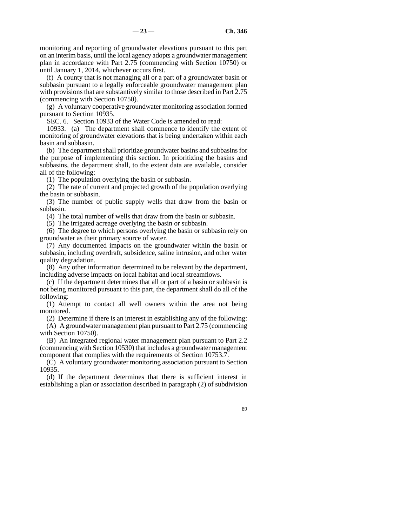monitoring and reporting of groundwater elevations pursuant to this part on an interim basis, until the local agency adopts a groundwater management plan in accordance with Part 2.75 (commencing with Section 10750) or until January 1, 2014, whichever occurs first.

(f) A county that is not managing all or a part of a groundwater basin or subbasin pursuant to a legally enforceable groundwater management plan with provisions that are substantively similar to those described in Part 2.75 (commencing with Section 10750).

(g) A voluntary cooperative groundwater monitoring association formed pursuant to Section 10935.

SEC. 6. Section 10933 of the Water Code is amended to read:

10933. (a) The department shall commence to identify the extent of monitoring of groundwater elevations that is being undertaken within each basin and subbasin.

(b) The department shall prioritize groundwater basins and subbasins for the purpose of implementing this section. In prioritizing the basins and subbasins, the department shall, to the extent data are available, consider all of the following:

(1) The population overlying the basin or subbasin.

(2) The rate of current and projected growth of the population overlying the basin or subbasin.

(3) The number of public supply wells that draw from the basin or subbasin.

(4) The total number of wells that draw from the basin or subbasin.

(5) The irrigated acreage overlying the basin or subbasin.

(6) The degree to which persons overlying the basin or subbasin rely on groundwater as their primary source of water.

(7) Any documented impacts on the groundwater within the basin or subbasin, including overdraft, subsidence, saline intrusion, and other water quality degradation.

(8) Any other information determined to be relevant by the department, including adverse impacts on local habitat and local streamflows.

(c) If the department determines that all or part of a basin or subbasin is not being monitored pursuant to this part, the department shall do all of the following:

(1) Attempt to contact all well owners within the area not being monitored.

(2) Determine if there is an interest in establishing any of the following:

(A) A groundwater management plan pursuant to Part 2.75 (commencing with Section 10750).

(B) An integrated regional water management plan pursuant to Part 2.2 (commencing with Section 10530) that includes a groundwater management component that complies with the requirements of Section 10753.7.

(C) A voluntary groundwater monitoring association pursuant to Section 10935.

(d) If the department determines that there is sufficient interest in establishing a plan or association described in paragraph (2) of subdivision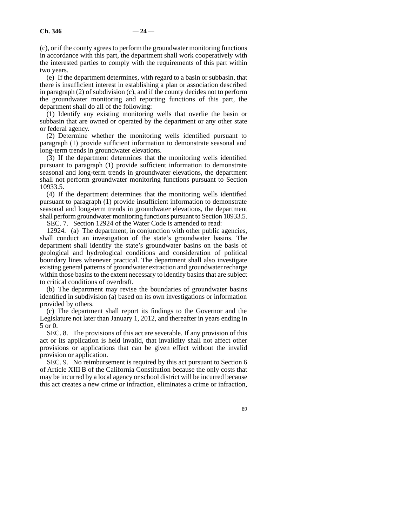(c), or if the county agrees to perform the groundwater monitoring functions in accordance with this part, the department shall work cooperatively with the interested parties to comply with the requirements of this part within two years.

(e) If the department determines, with regard to a basin or subbasin, that there is insufficient interest in establishing a plan or association described in paragraph (2) of subdivision (c), and if the county decides not to perform the groundwater monitoring and reporting functions of this part, the department shall do all of the following:

(1) Identify any existing monitoring wells that overlie the basin or subbasin that are owned or operated by the department or any other state or federal agency.

(2) Determine whether the monitoring wells identified pursuant to paragraph (1) provide sufficient information to demonstrate seasonal and long-term trends in groundwater elevations.

(3) If the department determines that the monitoring wells identified pursuant to paragraph (1) provide sufficient information to demonstrate seasonal and long-term trends in groundwater elevations, the department shall not perform groundwater monitoring functions pursuant to Section 10933.5.

(4) If the department determines that the monitoring wells identified pursuant to paragraph (1) provide insufficient information to demonstrate seasonal and long-term trends in groundwater elevations, the department shall perform groundwater monitoring functions pursuant to Section 10933.5.

SEC. 7. Section 12924 of the Water Code is amended to read:

12924. (a) The department, in conjunction with other public agencies, shall conduct an investigation of the state's groundwater basins. The department shall identify the state's groundwater basins on the basis of geological and hydrological conditions and consideration of political boundary lines whenever practical. The department shall also investigate existing general patterns of groundwater extraction and groundwater recharge within those basins to the extent necessary to identify basins that are subject to critical conditions of overdraft.

(b) The department may revise the boundaries of groundwater basins identified in subdivision (a) based on its own investigations or information provided by others.

(c) The department shall report its findings to the Governor and the Legislature not later than January 1, 2012, and thereafter in years ending in 5 or 0.

SEC. 8. The provisions of this act are severable. If any provision of this act or its application is held invalid, that invalidity shall not affect other provisions or applications that can be given effect without the invalid provision or application.

SEC. 9. No reimbursement is required by this act pursuant to Section 6 of Article XIII B of the California Constitution because the only costs that may be incurred by a local agency or school district will be incurred because this act creates a new crime or infraction, eliminates a crime or infraction,